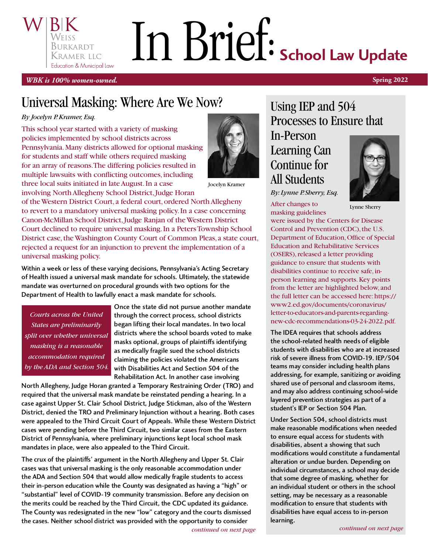# In Brief: School Law Update Burkardt Kramer llc Education & Municipal Law

*WBK is 100% women-owned.* **Spring 2022**

# Universal Masking: Where Are We Now?

#### *By Jocelyn P. Kramer, Esq.*

This school year started with a variety of masking policies implemented by school districts across Pennsylvania. Many districts allowed for optional masking for students and staff while others required masking for an array of reasons. The differing policies resulted in multiple lawsuits with conflicting outcomes, including three local suits initiated in late August. In a case involving North Allegheny School District, Judge Horan



Jocelyn Kramer

of the Western District Court, a federal court, ordered North Allegheny to revert to a mandatory universal masking policy. In a case concerning Canon-McMillan School District, Judge Ranjan of the Western District Court declined to require universal masking. In a Peters Township School District case, the Washington County Court of Common Pleas, a state court, rejected a request for an injunction to prevent the implementation of a universal masking policy.

Within a week or less of these varying decisions, Pennsylvania's Acting Secretary<br>of Health issued a universal mask mandate for schools. Ultimately, the statewide mandate was overturned on procedural grounds with two options for the mandate was overturned on procedural grounds with two options for the Department of Health to lawfully enact a mask mandate for schools.

*Courts across the United States are preliminarily split over whether universal masking is a reasonable accommodation required by the ADA and Section 504.* Once the state did not pursue another mandate through the correct process, school districts<br>began lifting their local mandates. In two local districts where the school boards voted to make masks optional, groups of plaintiffs identifying as medically fragile sued the school districts claiming the policies violated the Americans with Disabilities Act and Section 504 of the Rehabilitation Act. In another case involving

North Allegheny, Judge Horan granted a Temporary Restraining Order (TRO) and required that the universal mask mandate be reinstated pending a hearing. In a required that the universal mask mandate be reinstated pending a hearing. In a case against Upper St. Clair School District, Judge Stickman, also of the Western District, denied the TRO and Preliminary Injunction without a hearing. Both cases cases were pending before the Third Circuit, two similar cases from the Eastern District of Pennsylvania, where preliminary injunctions kept local school mask District of Pennsylvania, where preliminary injunctions kept local school mask mandates in place, were also appealed to the Third Circuit.

The crux of the plaintiffs' argument in the North Allegheny and Upper St. Clair the ADA and Section 504 that would allow medically fragile students to access their in-person education while the County was designated as having a "high" or "substantial" level of COVID-19 community transmission. Before any decision on the merits could be reached by the Third Circuit, the CDC updated its guidance. The County was redesignated in the new "low" category and the courts dismissed The County was redesignated in the new "low" category and the courts dismissed<br>discussed the court of the court of the courts distributed the courts of the courts of the courts of the court the cases. Neither school district was provided with the opportunity to consider

Using IEP and 504 Processes to Ensure that In-Person

# Learning Can Continue for All Students

*By: Lynne P. Sherry, Esq.*

After changes to masking guidelines



Lynne Sherry

were issued by the Centers for Disease Control and Prevention (CDC), the U.S. Department of Education, Office of Special Education and Rehabilitative Services (OSERS), released a letter providing guidance to ensure that students with disabilities continue to receive safe, inperson learning and supports. Key points from the letter are highlighted below, and the full letter can be accessed here: [https://](https://www2.ed.gov/documents/coronavirus/letter-to-educators-and-parents-regarding-new-cdc-recommendations-03-24-2022.pdf) [www2.ed.gov/documents/coronavirus/](https://www2.ed.gov/documents/coronavirus/letter-to-educators-and-parents-regarding-new-cdc-recommendations-03-24-2022.pdf) [letter-to-educators-and-parents-regarding](https://www2.ed.gov/documents/coronavirus/letter-to-educators-and-parents-regarding-new-cdc-recommendations-03-24-2022.pdf)[new-cdc-recommendations-03-24-2022.pdf](https://www2.ed.gov/documents/coronavirus/letter-to-educators-and-parents-regarding-new-cdc-recommendations-03-24-2022.pdf).

The IDEA requires that schools address<br>the school-related health needs of eligible students with disabilities who are at increased risk of severe illness from COVID-19. IEP/504 teams may consider including health plans addressing, for example, sanitizing or avoiding shared use of personal and classroom items, and may also address continuing school-wide layered prevention strategies as part of a layered prevention strategies as part of a student's IEP or Section 504 Plan.

Under Section 504, school districts must to ensure equal access for students with disabilities, absent a showing that such modifications would constitute a fundamental alteration or undue burden. Depending on individual circumstances, a school may decide that some degree of masking, whether for an individual student or others in the school setting, may be necessary as a reasonable modification to ensure that students with modification to ensure that students with disabilities have equal access to in-person learning.